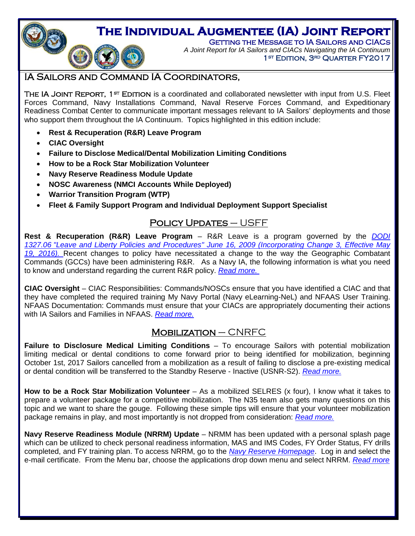# **The Individual Augmentee (IA) Joint Report**

Getting the Message to IA Sailors and CIACs *A Joint Report for IA Sailors and CIACs Navigating the IA Continuum* 1<sup>st</sup> EDITION, 3<sup>rd</sup> QUARTER FY2017

# <span id="page-0-0"></span>IA Sailors and Command IA Coordinators,

THE IA JOINT REPORT, 1st EDITION is a coordinated and collaborated newsletter with input from U.S. Fleet Forces Command, Navy Installations Command, Naval Reserve Forces Command, and Expeditionary Readiness Combat Center to communicate important messages relevant to IA Sailors' deployments and those who support them throughout the IA Continuum. Topics highlighted in this edition include:

- **Rest & Recuperation (R&R) Leave Program**
- **CIAC Oversight**

O

- **Failure to Disclose Medical/Dental Mobilization Limiting Conditions**
- **How to be a Rock Star Mobilization Volunteer**
- **Navy Reserve Readiness Module Update**
- **NOSC Awareness (NMCI Accounts While Deployed)**
- **Warrior Transition Program (WTP)**
- **Fleet & Family Support Program and Individual Deployment Support Specialist**

# POLICY UPDATES – USFF

**Rest & Recuperation (R&R) Leave Program** – R&R Leave is a program governed by the *[DODI](http://www.dtic.mil/whs/directives/corres/pdf/132706p.pdf)  1327.06 ["Leave and Liberty Policies and Procedures" June 16, 2009 \(Incorporating Change 3, Effective May](http://www.dtic.mil/whs/directives/corres/pdf/132706p.pdf)  [19, 2016\).](http://www.dtic.mil/whs/directives/corres/pdf/132706p.pdf)* Recent changes to policy have necessitated a change to the way the Geographic Combatant Commands (GCCs) have been administering R&R. As a Navy IA, the following information is what you need to know and understand regarding the current R&R policy. *[Read more.](#page-1-0)*

**CIAC Oversight** – CIAC Responsibilities: Commands/NOSCs ensure that you have identified a CIAC and that they have completed the required training My Navy Portal (Navy eLearning-NeL) and NFAAS User Training. NFAAS Documentation: Commands must ensure that your CIACs are appropriately documenting their actions with IA Sailors and Families in NFAAS. *[Read more.](http://www.public.navy.mil/ia/Pages/PD_PC.aspx)*

# $M$ OBILIZATION – CNRFC

**Failure to Disclosure Medical Limiting Conditions** – To encourage Sailors with potential mobilization limiting medical or dental conditions to come forward prior to being identified for mobilization, beginning October 1st, 2017 Sailors cancelled from a mobilization as a result of failing to disclose a pre-existing medical or dental condition will be transferred to the Standby Reserve - Inactive (USNR-S2). *[Read more.](#page-2-0)*

How to be a Rock Star Mobilization Volunteer - As a mobilized SELRES (x four), I know what it takes to prepare a volunteer package for a competitive mobilization. The N35 team also gets many questions on this topic and we want to share the gouge. Following these simple tips will ensure that your volunteer mobilization package remains in play, and most importantly is not dropped from consideration: *[Read more.](#page-2-1)*

**Navy Reserve Readiness Module (NRRM) Update** – NRMM has been updated with a personal splash page which can be utilized to check personal readiness information, MAS and IMS Codes, FY Order Status, FY drills completed, and FY training plan. To access NRRM, go to the *[Navy Reserve Homepage](http://www.public.navy.mil/nrh/Pages/default.aspx)*. Log in and select the e-mail certificate. From the Menu bar, choose the applications drop down menu and select NRRM. *[Read more](#page-3-0)*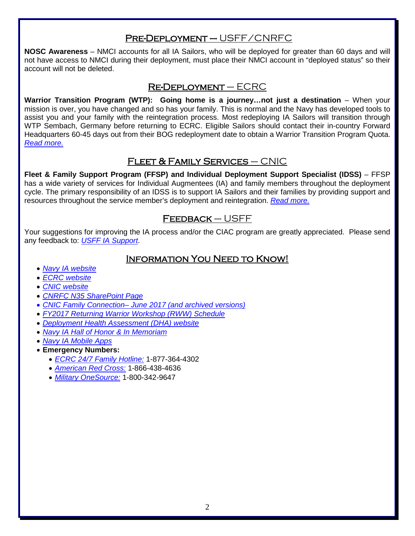# Pre-Deployment – USFF/CNRFC

**NOSC Awareness** – NMCI accounts for all IA Sailors, who will be deployed for greater than 60 days and will not have access to NMCI during their deployment, must place their NMCI account in "deployed status" so their account will not be deleted.

### Re-Deployment – ECRC

**Warrior Transition Program (WTP): Going home is a journey…not just a destination** – When your mission is over, you have changed and so has your family. This is normal and the Navy has developed tools to assist you and your family with the reintegration process. Most redeploying IA Sailors will transition through WTP Sembach, Germany before returning to ECRC. Eligible Sailors should contact their in-country Forward Headquarters 60-45 days out from their BOG redeployment date to obtain a Warrior Transition Program Quota. *[Read more.](#page-3-1)*

# Fleet & Family Services – CNIC

**Fleet & Family Support Program (FFSP) and Individual Deployment Support Specialist (IDSS)** – FFSP has a wide variety of services for Individual Augmentees (IA) and family members throughout the deployment cycle. The primary responsibility of an IDSS is to support IA Sailors and their families by providing support and resources throughout the service member's deployment and reintegration. *[Read more.](#page-4-0)*

# Feedback – USFF

Your suggestions for improving the IA process and/or the CIAC program are greatly appreciated. Please send any feedback to: *[USFF IA Support](mailto:usff.ia.fct@navy.mil)*.

### Information You Need to Know!

- *[Navy IA website](http://www.ia.navy.mil/)*
- *[ECRC website](http://www.ecrc.navy.mil/)*
- *[CNIC website](http://www.cnic.navy.mil/)*
- *[CNRFC N35 SharePoint Page](https://private.navyreserve.navy.mil/cnrfc/N-Codes/N3)*
- *[CNIC Family Connection–](https://www.cnic.navy.mil/ffr/family_readiness/fleet_and_family_support_program.html) June 2017 (and archived versions)*
- *FY2017 [Returning Warrior Workshop \(RWW\) Schedule](http://www.public.navy.mil/ia/Pages/rww.aspx)*
- *[Deployment Health Assessment \(DHA\) website](http://www.dha.navy.mil/)*
- *[Navy IA Hall of Honor & In Memoriam](http://www.ia.navy.mil/)*
- *[Navy IA Mobile Apps](http://www.public.navy.mil/ia/Pages/mobile.aspx)*
- <span id="page-1-0"></span>• **Emergency Numbers:** 
	- *ECRC [24/7 Family Hotline:](mailto:ecrc.fs.fct@navy.mil)* 1-877-364-4302
	- *[American Red Cross:](http://www.redcross.org/)* 1-866-438-4636
	- *[Military OneSource:](http://www.militaryonesource.com/)* 1-800-342-9647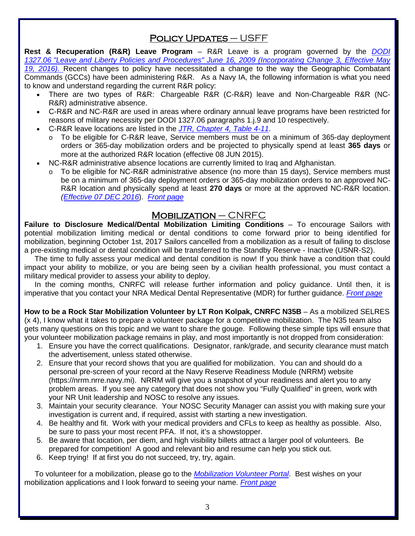# POLICY UPDATES - USFF

**Rest & Recuperation (R&R) Leave Program** – R&R Leave is a program governed by the *[DODI](http://www.dtic.mil/whs/directives/corres/pdf/132706p.pdf)  1327.06 ["Leave and Liberty Policies and Procedures" June 16, 2009 \(Incorporating Change 3, Effective May](http://www.dtic.mil/whs/directives/corres/pdf/132706p.pdf)  [19, 2016\).](http://www.dtic.mil/whs/directives/corres/pdf/132706p.pdf)* Recent changes to policy have necessitated a change to the way the Geographic Combatant Commands (GCCs) have been administering R&R. As a Navy IA, the following information is what you need to know and understand regarding the current R&R policy:

- There are two types of R&R: Chargeable R&R (C-R&R) leave and Non-Chargeable R&R (NC-R&R) administrative absence.
- C-R&R and NC-R&R are used in areas where ordinary annual leave programs have been restricted for reasons of military necessity per DODI 1327.06 paragraphs 1.j.9 and 10 respectively.
- C-R&R leave locations are listed in the *[JTR, Chapter 4, Table 4-11](http://www.defensetravel.dod.mil/Docs/perdiem/JTR.pdf)*.
	- To be eligible for C-R&R leave, Service members must be on a minimum of 365-day deployment orders or 365-day mobilization orders and be projected to physically spend at least **365 days** or more at the authorized R&R location (effective 08 JUN 2015).
- NC-R&R administrative absence locations are currently limited to Iraq and Afghanistan.
	- To be eligible for NC-R&R administrative absence (no more than 15 days), Service members must be on a minimum of 365-day deployment orders or 365-day mobilization orders to an approved NC-R&R location and physically spend at least **270 days** or more at the approved NC-R&R location. *[\(Effective 07 DEC 2016](http://www.public.navy.mil/IA/Documents/NCR-R%20LeavePolicyChg_7Dec2016.pdf)*). *[Front page](#page-0-0)*

### $M$ OBILIZATION – CNRFC

<span id="page-2-0"></span>**Failure to Disclosure Medical/Dental Mobilization Limiting Conditions** – To encourage Sailors with potential mobilization limiting medical or dental conditions to come forward prior to being identified for mobilization, beginning October 1st, 2017 Sailors cancelled from a mobilization as a result of failing to disclose a pre-existing medical or dental condition will be transferred to the Standby Reserve - Inactive (USNR-S2).

 The time to fully assess your medical and dental condition is now! If you think have a condition that could impact your ability to mobilize, or you are being seen by a civilian health professional, you must contact a military medical provider to assess your ability to deploy.

 In the coming months, CNRFC will release further information and policy guidance. Until then, it is imperative that you contact your NRA Medical Dental Representative (MDR) for further guidance. *[Front page](#page-0-0)*

<span id="page-2-1"></span>**How to be a Rock Star Mobilization Volunteer by LT Ron Kolpak, CNRFC N35B** – As a mobilized SELRES (x 4), I know what it takes to prepare a volunteer package for a competitive mobilization. The N35 team also gets many questions on this topic and we want to share the gouge. Following these simple tips will ensure that your volunteer mobilization package remains in play, and most importantly is not dropped from consideration:

- 1. Ensure you have the correct qualifications. Designator, rank/grade, and security clearance must match the advertisement, unless stated otherwise.
- 2. Ensure that your record shows that you are qualified for mobilization. You can and should do a personal pre-screen of your record at the Navy Reserve Readiness Module (NRRM) website [\(https://nrrm.nrre.navy.mi\)](https://nrrm.nrre.navy.mi/). NRRM will give you a snapshot of your readiness and alert you to any problem areas. If you see any category that does not show you "Fully Qualified" in green, work with your NR Unit leadership and NOSC to resolve any issues.
- 3. Maintain your security clearance. Your NOSC Security Manager can assist you with making sure your investigation is current and, if required, assist with starting a new investigation.
- 4. Be healthy and fit. Work with your medical providers and CFLs to keep as healthy as possible. Also, be sure to pass your most recent PFA. If not, it's a showstopper.
- 5. Be aware that location, per diem, and high visibility billets attract a larger pool of volunteers. Be prepared for competition! A good and relevant bio and resume can help you stick out.
- 6. Keep trying! If at first you do not succeed, try, try, again.

 To volunteer for a mobilization, please go to the *[Mobilization Volunteer Portal](https://private.navyreserve.navy.mil/cnrfc/N-Codes/N3/mobilizationportal/default.aspx)*. Best wishes on your mobilization applications and I look forward to seeing your name. *[Front page](#page-0-0)*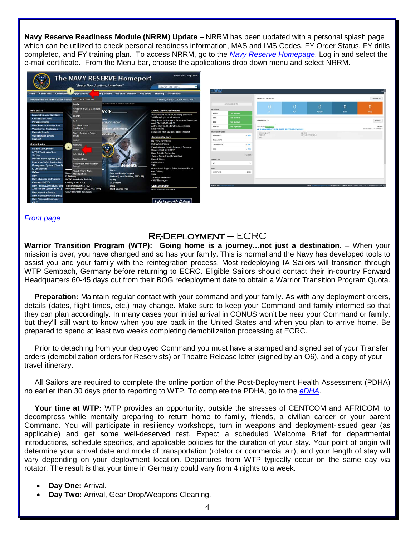<span id="page-3-0"></span>**Navy Reserve Readiness Module (NRRM) Update** – NRRM has been updated with a personal splash page which can be utilized to check personal readiness information, MAS and IMS Codes, FY Order Status, FY drills completed, and FY training plan. To access NRRM, go to the *[Navy Reserve Homepage](http://www.public.navy.mil/nrh/pages/default.aspx)*. Log in and select the e-mail certificate. From the Menu bar, choose the applications drop down menu and select NRRM.



*[Front page](#page-0-0)*

#### Re-Deployment – ECRC

<span id="page-3-1"></span>**Warrior Transition Program (WTP): Going home is a journey…not just a destination.** – When your mission is over, you have changed and so has your family. This is normal and the Navy has developed tools to assist you and your family with the reintegration process. Most redeploying IA Sailors will transition through WTP Sembach, Germany before returning to ECRC. Eligible Sailors should contact their in-country Forward Headquarters 60-45 days out from their BOG redeployment date to obtain a Warrior Transition Program Quota.

 **Preparation:** Maintain regular contact with your command and your family. As with any deployment orders, details (dates, flight times, etc.) may change. Make sure to keep your Command and family informed so that they can plan accordingly. In many cases your initial arrival in CONUS won't be near your Command or family, but they'll still want to know when you are back in the United States and when you plan to arrive home. Be prepared to spend at least two weeks completing demobilization processing at ECRC.

 Prior to detaching from your deployed Command you must have a stamped and signed set of your Transfer orders (demobilization orders for Reservists) or Theatre Release letter (signed by an O6), and a copy of your travel itinerary.

 All Sailors are required to complete the online portion of the Post-Deployment Health Assessment (PDHA) no earlier than 30 days prior to reporting to WTP. To complete the PDHA, go to the *[eDHA](https://data.nmcphc.med.navy.mil/EDHA/)*.

 **Your time at WTP:** WTP provides an opportunity, outside the stresses of CENTCOM and AFRICOM, to decompress while mentally preparing to return home to family, friends, a civilian career or your parent Command. You will participate in resiliency workshops, turn in weapons and deployment-issued gear (as applicable) and get some well-deserved rest. Expect a scheduled Welcome Brief for departmental introductions, schedule specifics, and applicable policies for the duration of your stay. Your point of origin will determine your arrival date and mode of transportation (rotator or commercial air), and your length of stay will vary depending on your deployment location. Departures from WTP typically occur on the same day via rotator. The result is that your time in Germany could vary from 4 nights to a week.

- **Day One:** Arrival.
- **Day Two:** Arrival, Gear Drop/Weapons Cleaning.